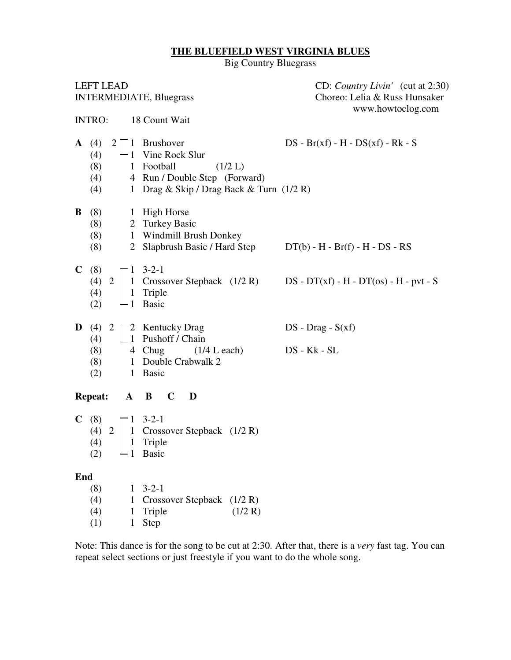## **THE BLUEFIELD WEST VIRGINIA BLUES**

Big Country Bluegrass

| <b>LEFT LEAD</b><br><b>INTERMEDIATE, Bluegrass</b>                                                                                                                                                            |                                                                                        | CD: Country Livin' (cut at 2:30)<br>Choreo: Lelia & Russ Hunsaker<br>www.howtoclog.com |  |  |  |  |  |
|---------------------------------------------------------------------------------------------------------------------------------------------------------------------------------------------------------------|----------------------------------------------------------------------------------------|----------------------------------------------------------------------------------------|--|--|--|--|--|
| 18 Count Wait<br><b>INTRO:</b>                                                                                                                                                                                |                                                                                        |                                                                                        |  |  |  |  |  |
| A(4)<br>$2 \begin{bmatrix} 1 \\ 1 \end{bmatrix}$ Brushover<br>Vine Rock Slur<br>(4)<br>- 1<br>(8)<br>1 Football<br>(4)<br>(4)                                                                                 | (1/2 L)<br>4 Run / Double Step (Forward)<br>1 Drag & Skip / Drag Back & Turn $(1/2 R)$ | $DS - Br(xf) - H - DS(xf) - Rk - S$                                                    |  |  |  |  |  |
| $\mathbf{B}$ (8) 1 High Horse<br>2 Turkey Basic<br>(8)<br>(8)<br>(8)                                                                                                                                          | 1 Windmill Brush Donkey                                                                | 2 Slapbrush Basic / Hard Step DT(b) - H - Br(f) - H - DS - RS                          |  |  |  |  |  |
| <b>C</b> (8) $\sqsubset$ 1 3-2-1<br>(4)<br>1 Triple<br>-1 Basic<br>(2)                                                                                                                                        |                                                                                        | (4) 2   1 Crossover Stepback $(1/2 R)$ DS - DT(xf) - H - DT(os) - H - pvt - S          |  |  |  |  |  |
| <b>D</b> (4) 2 $\begin{bmatrix} 2 \\ 2 \end{bmatrix}$ Kentucky Drag<br>$\Box$ 1 Pushoff / Chain<br>(4)<br>(8) $4 \text{ Chug}$ $(1/4 \text{ L each})$<br>(8) $1 \text{ Double Crabwalk } 2$<br>1 Basic<br>(2) |                                                                                        | $DS$ - $Drag$ - $S(xf)$<br>DS - Kk - SL                                                |  |  |  |  |  |
| <b>Repeat:</b><br>$A$ $B$ $C$                                                                                                                                                                                 | D                                                                                      |                                                                                        |  |  |  |  |  |
| C(8)<br>$\sqsubset$ 1 3-2-1<br>(4) 2   1 Crossover Stepback $(1/2 R)$<br>1 Triple<br>(4)<br>(2)<br>$-1$ Basic                                                                                                 |                                                                                        |                                                                                        |  |  |  |  |  |
| End<br>$3 - 2 - 1$<br>(8)<br>1<br>(4)<br>(4)<br>Triple<br>1<br>(1)<br>Step                                                                                                                                    | Crossover Stepback (1/2 R)<br>(1/2 R)                                                  |                                                                                        |  |  |  |  |  |

Note: This dance is for the song to be cut at 2:30. After that, there is a *very* fast tag. You can repeat select sections or just freestyle if you want to do the whole song.